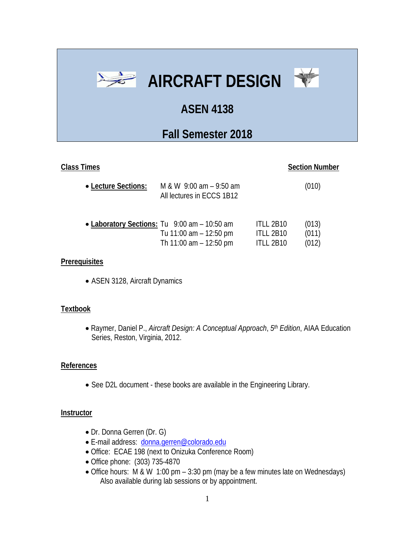

### **Class Times** Section Number

| • Lecture Sections: | M & W $9:00$ am $-9:50$ am<br>All lectures in ECCS 1B12 |                  | (010) |
|---------------------|---------------------------------------------------------|------------------|-------|
|                     | • Laboratory Sections: Tu 9:00 am - 10:50 am            | <b>ITLL 2B10</b> | (013) |
|                     | Tu 11:00 am $-$ 12:50 pm                                | <b>ITLL 2B10</b> | (011) |
|                     | Th 11:00 am $-$ 12:50 pm                                | <b>ITLL 2B10</b> | (012) |

### **Prerequisites**

• ASEN 3128, Aircraft Dynamics

# **Textbook**

• Raymer, Daniel P., *Aircraft Design: A Conceptual Approach*, *5th Edition*, AIAA Education Series, Reston, Virginia, 2012.

#### **References**

• See D2L document - these books are available in the Engineering Library.

# **Instructor**

- Dr. Donna Gerren (Dr. G)
- E-mail address: [donna.gerren@colorado.edu](mailto:donna.gerren@colorado.edu)
- Office: ECAE 198 (next to Onizuka Conference Room)
- Office phone: (303) 735-4870
- Office hours: M & W 1:00 pm 3:30 pm (may be a few minutes late on Wednesdays) Also available during lab sessions or by appointment.